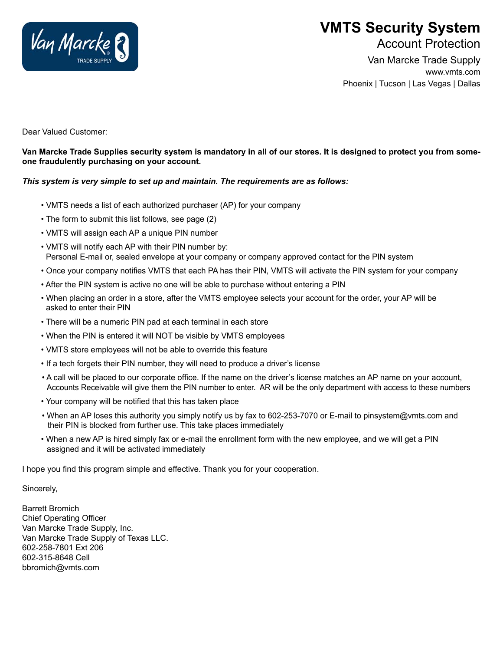

## **VMTS Security System**

Account Protection

Van Marcke Trade Supply www.vmts.com Phoenix | Tucson | Las Vegas | Dallas

Dear Valued Customer:

**Van Marcke Trade Supplies security system is mandatory in all of our stores. It is designed to protect you from someone fraudulently purchasing on your account.**

## *This system is very simple to set up and maintain. The requirements are as follows:*

- VMTS needs a list of each authorized purchaser (AP) for your company
- The form to submit this list follows, see page (2)
- VMTS will assign each AP a unique PIN number
- VMTS will notify each AP with their PIN number by: Personal E-mail or, sealed envelope at your company or company approved contact for the PIN system
- Once your company notifies VMTS that each PA has their PIN, VMTS will activate the PIN system for your company
- After the PIN system is active no one will be able to purchase without entering a PIN
- When placing an order in a store, after the VMTS employee selects your account for the order, your AP will be asked to enter their PIN
- There will be a numeric PIN pad at each terminal in each store
- When the PIN is entered it will NOT be visible by VMTS employees
- VMTS store employees will not be able to override this feature
- If a tech forgets their PIN number, they will need to produce a driver's license
- A call will be placed to our corporate office. If the name on the driver's license matches an AP name on your account, Accounts Receivable will give them the PIN number to enter. AR will be the only department with access to these numbers
- Your company will be notified that this has taken place
- When an AP loses this authority you simply notify us by fax to 602-253-7070 or E-mail to pinsystem@vmts.com and their PIN is blocked from further use. This take places immediately
- When a new AP is hired simply fax or e-mail the enrollment form with the new employee, and we will get a PIN assigned and it will be activated immediately

I hope you find this program simple and effective. Thank you for your cooperation.

Sincerely,

Barrett Bromich Chief Operating Officer Van Marcke Trade Supply, Inc. Van Marcke Trade Supply of Texas LLC. 602-258-7801 Ext 206 602-315-8648 Cell bbromich@vmts.com